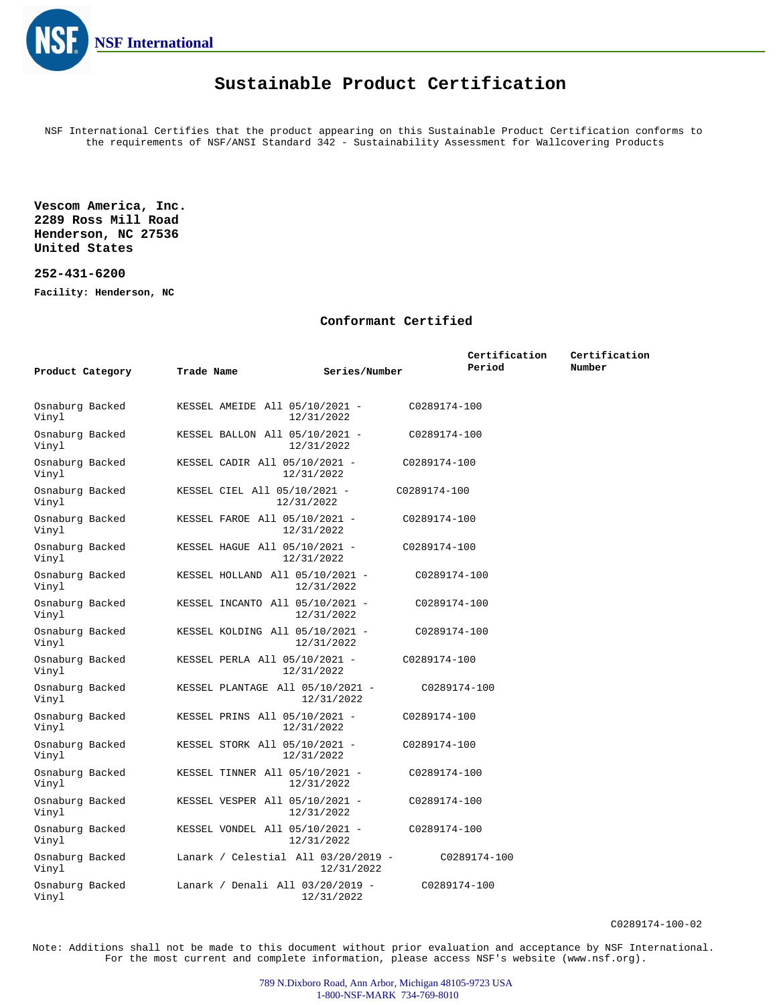

### **Sustainable Product Certification**

NSF International Certifies that the product appearing on this Sustainable Product Certification conforms to the requirements of NSF/ANSI Standard 342 - Sustainability Assessment for Wallcovering Products

**Vescom America, Inc. 2289 Ross Mill Road Henderson, NC 27536 United States**

#### **252-431-6200**

**Facility: Henderson, NC**

#### **Conformant Certified**

|                          |                                             |                            | Certification | Certification |
|--------------------------|---------------------------------------------|----------------------------|---------------|---------------|
| Product Category         | Trade Name                                  | Series/Number              | Period        | Number        |
|                          |                                             |                            |               |               |
| Osnaburg Backed<br>Vinyl | KESSEL AMEIDE All 05/10/2021 -              | C0289174-100<br>12/31/2022 |               |               |
| Osnaburg Backed<br>Vinyl | KESSEL BALLON All 05/10/2021 -              | C0289174-100<br>12/31/2022 |               |               |
| Osnaburg Backed<br>Vinyl | KESSEL CADIR All 05/10/2021 -<br>12/31/2022 | C0289174-100               |               |               |
| Osnaburg Backed<br>Vinyl | KESSEL CIEL All 05/10/2021 -<br>12/31/2022  | C0289174-100               |               |               |
| Osnaburg Backed<br>Vinyl | KESSEL FAROE All 05/10/2021 -<br>12/31/2022 | C0289174-100               |               |               |
| Osnaburg Backed<br>Vinyl | KESSEL HAGUE All 05/10/2021 -<br>12/31/2022 | C0289174-100               |               |               |
| Osnaburg Backed<br>Vinyl | KESSEL HOLLAND All 05/10/2021 -             | C0289174-100<br>12/31/2022 |               |               |
| Osnaburg Backed<br>Vinyl | KESSEL INCANTO All 05/10/2021 -             | C0289174-100<br>12/31/2022 |               |               |
| Osnaburg Backed<br>Vinyl | KESSEL KOLDING All 05/10/2021 -             | C0289174-100<br>12/31/2022 |               |               |
| Osnaburg Backed<br>Vinyl | KESSEL PERLA All 05/10/2021 -<br>12/31/2022 | C0289174-100               |               |               |
| Osnaburg Backed<br>Vinyl | KESSEL PLANTAGE All 05/10/2021 -            | C0289174-100<br>12/31/2022 |               |               |
| Osnaburg Backed<br>Vinyl | KESSEL PRINS All 05/10/2021 -<br>12/31/2022 | C0289174-100               |               |               |
| Osnaburg Backed<br>Vinyl | KESSEL STORK All 05/10/2021 -<br>12/31/2022 | C0289174-100               |               |               |
| Osnaburg Backed<br>Vinyl | KESSEL TINNER All 05/10/2021 -              | C0289174-100<br>12/31/2022 |               |               |
| Osnaburg Backed<br>Vinyl | KESSEL VESPER All 05/10/2021 -              | C0289174-100<br>12/31/2022 |               |               |
| Osnaburg Backed<br>Vinyl | KESSEL VONDEL All 05/10/2021 -              | C0289174-100<br>12/31/2022 |               |               |
| Osnaburg Backed<br>Vinyl | Lanark / Celestial All 03/20/2019 -         | 12/31/2022                 | C0289174-100  |               |
| Osnaburg Backed<br>Vinyl | Lanark / Denali All 03/20/2019 -            | C0289174-100<br>12/31/2022 |               |               |

Note: Additions shall not be made to this document without prior evaluation and acceptance by NSF International. For the most current and complete information, please access NSF's website (www.nsf.org).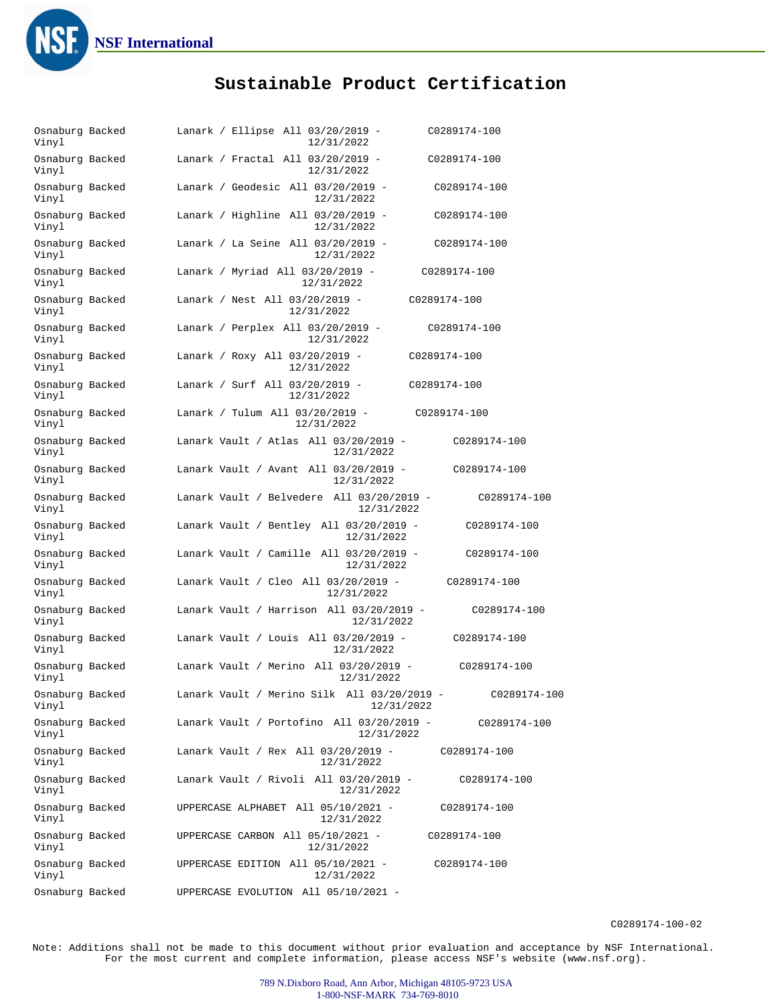

# **Sustainable Product Certification**

| Osnaburg Backed<br>Vinyl | Lanark / Ellipse All 03/20/2019 -<br>C0289174-100<br>12/31/2022           |
|--------------------------|---------------------------------------------------------------------------|
| Osnaburg Backed<br>Vinyl | Lanark / Fractal All 03/20/2019 -<br>C0289174-100<br>12/31/2022           |
| Osnaburg Backed<br>Vinyl | Lanark / Geodesic All 03/20/2019 -<br>C0289174-100<br>12/31/2022          |
| Osnaburg Backed<br>Vinyl | Lanark / Highline All 03/20/2019 -<br>C0289174-100<br>12/31/2022          |
| Osnaburg Backed<br>Vinyl | Lanark / La Seine All 03/20/2019 -<br>C0289174-100<br>12/31/2022          |
| Osnaburg Backed<br>Vinyl | Lanark / Myriad All 03/20/2019 -<br>C0289174-100<br>12/31/2022            |
| Osnaburg Backed<br>Vinyl | Lanark / Nest All 03/20/2019 -<br>C0289174-100<br>12/31/2022              |
| Osnaburg Backed<br>Vinyl | Lanark / Perplex All 03/20/2019 -<br>C0289174-100<br>12/31/2022           |
| Osnaburg Backed<br>Vinyl | Lanark / Roxy All 03/20/2019 -<br>C0289174-100<br>12/31/2022              |
| Osnaburg Backed<br>Vinyl | Lanark / Surf All 03/20/2019 -<br>C0289174-100<br>12/31/2022              |
| Osnaburg Backed<br>Vinyl | Lanark / Tulum All 03/20/2019 -<br>C0289174-100<br>12/31/2022             |
| Osnaburg Backed<br>Vinyl | Lanark Vault / Atlas All 03/20/2019 -<br>C0289174-100<br>12/31/2022       |
| Osnaburg Backed<br>Vinyl | Lanark Vault / Avant All 03/20/2019 -<br>C0289174-100<br>12/31/2022       |
| Osnaburg Backed<br>Vinyl | Lanark Vault / Belvedere All 03/20/2019 -<br>C0289174-100<br>12/31/2022   |
| Osnaburg Backed<br>Vinyl | Lanark Vault / Bentley All $03/20/2019$ -<br>C0289174-100<br>12/31/2022   |
| Osnaburg Backed<br>Vinyl | Lanark Vault / Camille All 03/20/2019 -<br>C0289174-100<br>12/31/2022     |
| Osnaburg Backed<br>Vinyl | Lanark Vault / Cleo All 03/20/2019 -<br>C0289174-100<br>12/31/2022        |
| Osnaburg Backed<br>Vinyl | Lanark Vault / Harrison All 03/20/2019 -<br>C0289174-100<br>12/31/2022    |
| Osnaburg Backed<br>Vinyl | Lanark Vault / Louis All $03/20/2019$ -<br>C0289174-100<br>12/31/2022     |
| Osnaburg Backed<br>Vinyl | Lanark Vault / Merino All 03/20/2019 -<br>C0289174-100<br>12/31/2022      |
| Osnaburg Backed<br>Vinyl | Lanark Vault / Merino Silk All 03/20/2019 -<br>C0289174-100<br>12/31/2022 |
| Osnaburg Backed<br>Vinyl | Lanark Vault / Portofino All $03/20/2019$ -<br>C0289174-100<br>12/31/2022 |
| Osnaburg Backed<br>Vinyl | Lanark Vault / Rex All 03/20/2019 -<br>C0289174-100<br>12/31/2022         |
| Osnaburg Backed<br>Vinyl | Lanark Vault / Rivoli All 03/20/2019 -<br>C0289174-100<br>12/31/2022      |
| Osnaburg Backed<br>Vinyl | UPPERCASE ALPHABET All 05/10/2021 -<br>C0289174-100<br>12/31/2022         |
| Osnaburg Backed<br>Vinyl | UPPERCASE CARBON All 05/10/2021 -<br>C0289174-100<br>12/31/2022           |
| Osnaburg Backed<br>Vinyl | UPPERCASE EDITION All 05/10/2021 -<br>C0289174-100<br>12/31/2022          |
| Osnaburg Backed          | UPPERCASE EVOLUTION All 05/10/2021 -                                      |

C0289174-100-02

Note: Additions shall not be made to this document without prior evaluation and acceptance by NSF International. For the most current and complete information, please access NSF's website (www.nsf.org).